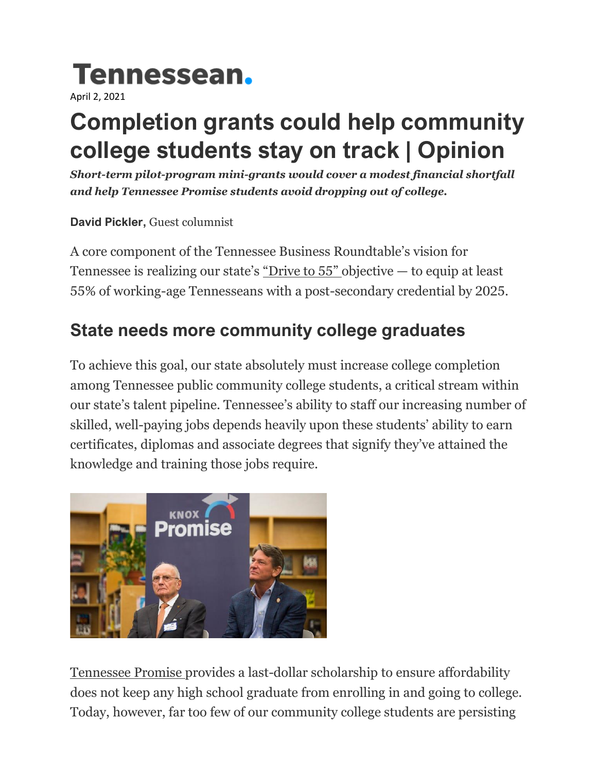# **Tennessean.**

April 2, 2021

## **Completion grants could help community college students stay on track | Opinion**

*Short-term pilot-program mini-grants would cover a modest financial shortfall and help Tennessee Promise students avoid dropping out of college.*

#### **David Pickler,** Guest columnist

A core component of the Tennessee Business Roundtable's vision for Tennessee is realizing our state's ["Drive to 55"](https://driveto55.org/) objective — to equip at least 55% of working-age Tennesseans with a post-secondary credential by 2025.

#### **State needs more community college graduates**

To achieve this goal, our state absolutely must increase college completion among Tennessee public community college students, a critical stream within our state's talent pipeline. Tennessee's ability to staff our increasing number of skilled, well-paying jobs depends heavily upon these students' ability to earn certificates, diplomas and associate degrees that signify they've attained the knowledge and training those jobs require.



[Tennessee Promise](https://www.tn.gov/tnpromise.html) provides a last-dollar scholarship to ensure affordability does not keep any high school graduate from enrolling in and going to college. Today, however, far too few of our community college students are persisting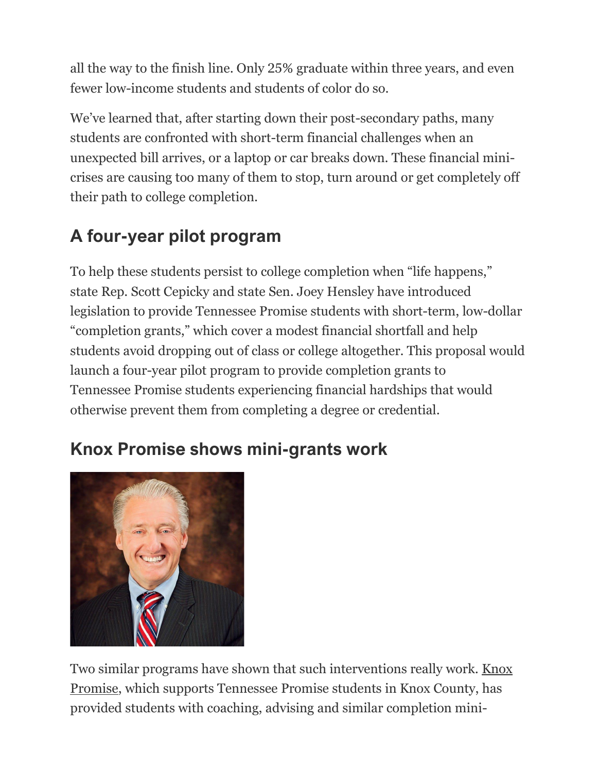all the way to the finish line. Only 25% graduate within three years, and even fewer low-income students and students of color do so.

We've learned that, after starting down their post-secondary paths, many students are confronted with short-term financial challenges when an unexpected bill arrives, or a laptop or car breaks down. These financial minicrises are causing too many of them to stop, turn around or get completely off their path to college completion.

### **A four-year pilot program**

To help these students persist to college completion when "life happens," state Rep. Scott Cepicky and state Sen. Joey Hensley have introduced legislation to provide Tennessee Promise students with short-term, low-dollar "completion grants," which cover a modest financial shortfall and help students avoid dropping out of class or college altogether. This proposal would launch a four-year pilot program to provide completion grants to Tennessee Promise students experiencing financial hardships that would otherwise prevent them from completing a degree or credential.

#### **Knox Promise shows mini-grants work**



Two similar programs have shown that such interventions really work. [Knox](https://tnachieves.org/knoxpromise/)  [Promise,](https://tnachieves.org/knoxpromise/) which supports Tennessee Promise students in Knox County, has provided students with coaching, advising and similar completion mini